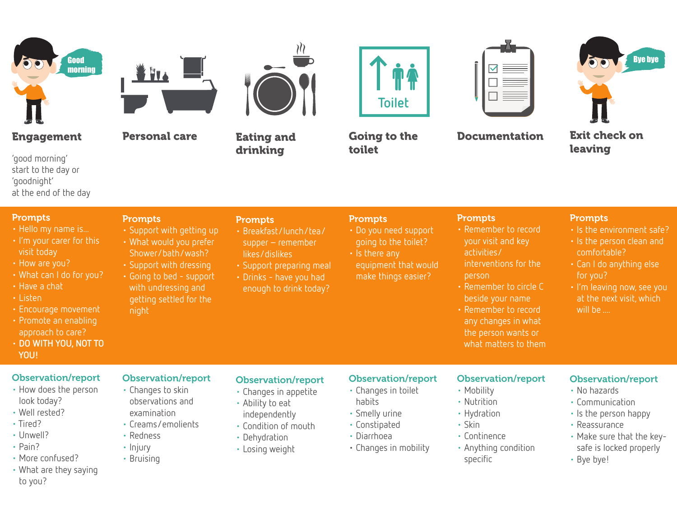

## Engagement

'good morning' start to the day or 'goodnight' at the end of the day

### **Prompts**

night

• Support with getting up • What would you prefer Shower/bath/wash? • Support with dressing • Going to bed - support with undressing and getting settled for the

Personal care

- Hello my name is...
- I'm your carer for this visit today
- How are you?
- What can I do for you?
- Have a chat
- Listen

**Prompts** 

- Encourage movement
- Promote an enabling approach to care?
- **DO WITH YOU, NOT TO YOU!**

#### Observation/report

- How does the person look today?
- Well rested?
- Tired?
- Unwell?
- Pain?
- More confused?
- What are they saying to you?

#### Observation/report

- Changes to skin observations and examination
- Creams/emolients
- Redness
- Injury
- Bruising

#### Observation/report

- Changes in appetite
- Ability to eat independently
- Condition of mouth
- Dehydration
- Losing weight

#### Observation/report

- Changes in toilet
- habits
- Smelly urine
- Constipated
- Diarrhoea
- Changes in mobility

#### Observation/report • Mobility

- Nutrition
- Hydration

Prompts

activities/

person

- Skin
- Continence
- Anything condition specific
- Observation/report
	- No hazards
	- Communication
	- Is the person happy
	- Reassurance
	- Make sure that the key safe is locked properly
	- Bye bye!

Exit check on leaving

**Prompts** 

comfortable?

for you?

will be ....

• Is the environment safe? • Is the person clean and

• Can I do anything else

• I'm leaving now, see you at the next visit, which

Eating and

• Breakfast/lunch/tea/ supper – remember likes/dislikes

• Support preparing meal • Drinks - have you had enough to drink today?

drinking

**Prompts** 

**Toilet**

Going to the toilet

• Do you need support going to the toilet?

 equipment that would make things easier?

**Prompts** 

• Is there any



Documentation

• Remember to record your visit and key

interventions for the

• Remember to circle C beside your name • Remember to record any changes in what the person wants or what matters to them